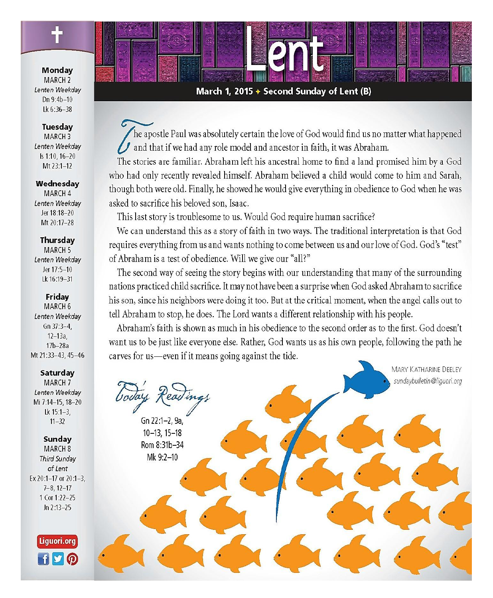Monday MARCH<sub>2</sub> Lenten Weekdav Dn  $9:4b-10$ Lk 6:36-38

### **Tuesday**

MARCH<sub>3</sub> Lenten Weekday  $Is 1:10.16-20$  $Mt$  23:1-12

#### Wednesday

MARCH 4 Lenten Weekdav Jer 18:18-20 Mt 20:17-28

#### Thursday

**MARCH 5** Lenten Weekdav Jer 17:5-10 Lk 16:19-31

### Friday

MARCH<sub>6</sub> Lenten Weekdav  $Gn 37:3-4$  $12 - 13a$ .  $17b-28a$ Mt 21:33-43.45-46

Saturday

MARCH<sub>7</sub> Lenten Weekday Mi 7:14-15, 18-20 Lk  $15:1-3$ ,  $11 - 32$ 

Sunday

**MARCH 8** Third Sunday of Lent Ex 20:1-17 or 20:1-3.  $7 - 8$ ,  $12 - 17$ 1 Cor 1:22-25  $Jn 2:13-25$ 

> Liguori.org  $f|g|_0$



he apostle Paul was absolutely certain the love of God would find us no matter what happened and that if we had any role model and ancestor in faith, it was Abraham.

The stories are familiar. Abraham left his ancestral home to find a land promised him by a God who had only recently revealed himself. Abraham believed a child would come to him and Sarah, though both were old. Finally, he showed he would give everything in obedience to God when he was asked to sacrifice his beloved son, Isaac.

This last story is troublesome to us. Would God require human sacrifice?

We can understand this as a story of faith in two ways. The traditional interpretation is that God requires everything from us and wants nothing to come between us and our love of God. God's "test" of Abraham is a test of obedience. Will we give our "all?"

The second way of seeing the story begins with our understanding that many of the surrounding nations practiced child sacrifice. It may not have been a surprise when God asked Abraham to sacrifice his son, since his neighbors were doing it too. But at the critical moment, when the angel calls out to tell Abraham to stop, he does. The Lord wants a different relationship with his people.

Abraham's faith is shown as much in his obedience to the second order as to the first. God doesn't want us to be just like everyone else. Rather, God wants us as his own people, following the path he carves for us—even if it means going against the tide.

MARY KATHARINE DEFLEY sundaybulletin@liquori.orq

Gn 22:1-2, 9a  $10 - 13$ ,  $15 - 18$ Rom 8:31b-34

Mk 9:2-10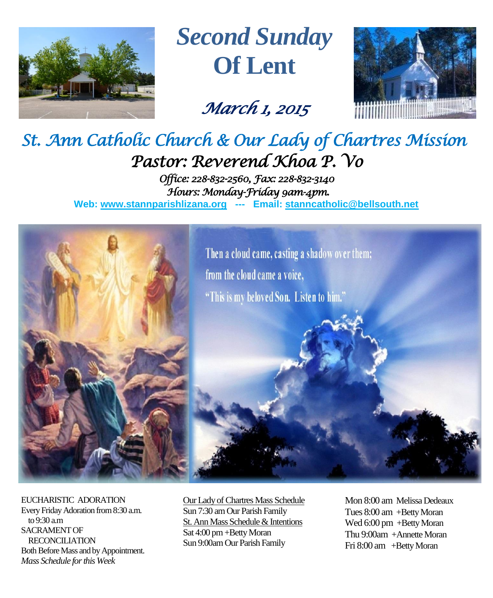

# *Second Sunday* **Of Lent**

# *March 1, 2015*



# *St. Ann Catholic Church & Our Lady of Chartres Mission Pastor: Reverend Khoa P. Vo*

*Office: 228-832-2560, Fax: 228-832-3140 Hours: Monday-Friday 9am-4pm.*  **Web: www.stannparishlizana.org --- Email: [stanncatholic@bellsouth.net](mailto:stanncatholic@bellsouth.net)**



EUCHARISTIC ADORATION Every Friday Adoration from 8:30 a.m. to 9:30 a.m SACRAMENT OF RECONCILIATION Both Before Mass and by Appointment. *Mass Schedule for this Week* 

Our Lady of Chartres Mass Schedule Sun 7:30 am Our Parish Family St. Ann Mass Schedule & Intentions Sat 4:00 pm+Betty Moran Sun 9:00am Our Parish Family

Mon 8:00 am Melissa Dedeaux Tues 8:00 am +Betty Moran Wed 6:00 pm +Betty Moran Thu 9:00am +Annette Moran Fri 8:00 am +Betty Moran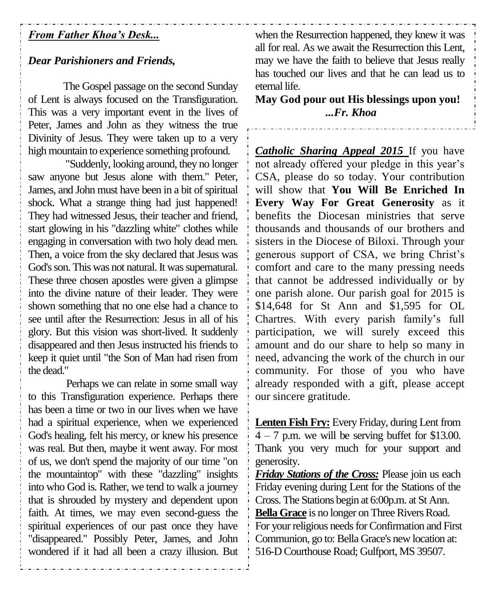# *From Father Khoa's Desk...*

### *Dear Parishioners and Friends,*

The Gospel passage on the second Sunday of Lent is always focused on the Transfiguration. This was a very important event in the lives of Peter, James and John as they witness the true Divinity of Jesus. They were taken up to a very high mountain to experience something profound.

"Suddenly, looking around, they no longer saw anyone but Jesus alone with them." Peter, James, and John must have been in a bit of spiritual shock. What a strange thing had just happened! They had witnessed Jesus, their teacher and friend, start glowing in his "dazzling white" clothes while engaging in conversation with two holy dead men. Then, a voice from the sky declared that Jesus was God's son. This was not natural. It was supernatural. These three chosen apostles were given a glimpse into the divine nature of their leader. They were shown something that no one else had a chance to see until after the Resurrection: Jesus in all of his glory. But this vision was short-lived. It suddenly disappeared and then Jesus instructed his friends to keep it quiet until "the Son of Man had risen from the dead."

Perhaps we can relate in some small way to this Transfiguration experience. Perhaps there has been a time or two in our lives when we have had a spiritual experience, when we experienced God's healing, felt his mercy, or knew his presence was real. But then, maybe it went away. For most of us, we don't spend the majority of our time "on the mountaintop" with these "dazzling" insights into who God is. Rather, we tend to walk a journey that is shrouded by mystery and dependent upon faith. At times, we may even second-guess the spiritual experiences of our past once they have "disappeared." Possibly Peter, James, and John wondered if it had all been a crazy illusion. But

when the Resurrection happened, they knew it was all for real. As we await the Resurrection this Lent, may we have the faith to believe that Jesus really has touched our lives and that he can lead us to eternal life.

**May God pour out His blessings upon you!** *...Fr. Khoa*

*Catholic Sharing Appeal 2015* If you have not already offered your pledge in this year's CSA, please do so today. Your contribution will show that **You Will Be Enriched In Every Way For Great Generosity** as it benefits the Diocesan ministries that serve thousands and thousands of our brothers and sisters in the Diocese of Biloxi. Through your generous support of CSA, we bring Christ's comfort and care to the many pressing needs that cannot be addressed individually or by one parish alone. Our parish goal for 2015 is \$14,648 for St Ann and \$1,595 for OL Chartres. With every parish family's full participation, we will surely exceed this amount and do our share to help so many in need, advancing the work of the church in our community. For those of you who have already responded with a gift, please accept our sincere gratitude.

**Lenten Fish Fry:** Every Friday, during Lent from  $4 - 7$  p.m. we will be serving buffet for \$13.00. Thank you very much for your support and generosity.

*Friday Stations of the Cross:* Please join us each Friday evening during Lent for the Stations of the Cross. The Stations begin at 6:00p.m. at St Ann. **Bella Grace** is no longer on Three Rivers Road. For your religious needs for Confirmation and First Communion, go to: Bella Grace's new location at: 516-D Courthouse Road; Gulfport, MS 39507.